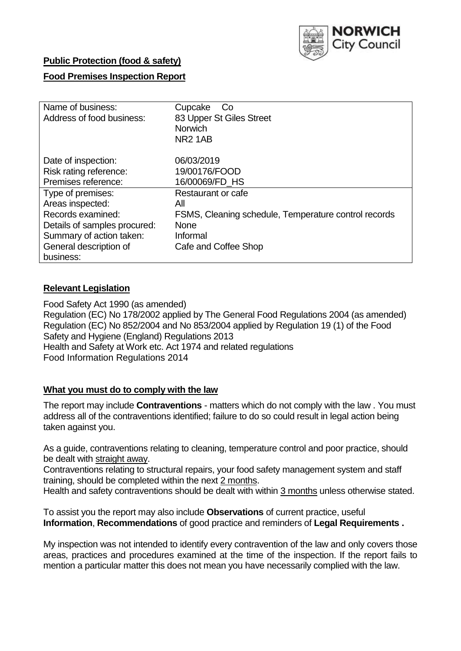

## **Public Protection (food & safety)**

## **Food Premises Inspection Report**

| Name of business:<br>Address of food business:                       | Cupcake<br>Co<br>83 Upper St Giles Street<br><b>Norwich</b><br><b>NR21AB</b> |
|----------------------------------------------------------------------|------------------------------------------------------------------------------|
| Date of inspection:<br>Risk rating reference:<br>Premises reference: | 06/03/2019<br>19/00176/FOOD<br>16/00069/FD HS                                |
| Type of premises:                                                    | Restaurant or cafe                                                           |
| Areas inspected:                                                     | All                                                                          |
| Records examined:                                                    | FSMS, Cleaning schedule, Temperature control records                         |
| Details of samples procured:                                         | <b>None</b>                                                                  |
| Summary of action taken:                                             | Informal                                                                     |
| General description of                                               | Cafe and Coffee Shop                                                         |
| business:                                                            |                                                                              |

## **Relevant Legislation**

Food Safety Act 1990 (as amended) Regulation (EC) No 178/2002 applied by The General Food Regulations 2004 (as amended) Regulation (EC) No 852/2004 and No 853/2004 applied by Regulation 19 (1) of the Food Safety and Hygiene (England) Regulations 2013 Health and Safety at Work etc. Act 1974 and related regulations Food Information Regulations 2014

#### **What you must do to comply with the law**

The report may include **Contraventions** - matters which do not comply with the law . You must address all of the contraventions identified; failure to do so could result in legal action being taken against you.

As a guide, contraventions relating to cleaning, temperature control and poor practice, should be dealt with straight away.

Contraventions relating to structural repairs, your food safety management system and staff training, should be completed within the next 2 months.

Health and safety contraventions should be dealt with within 3 months unless otherwise stated.

To assist you the report may also include **Observations** of current practice, useful **Information**, **Recommendations** of good practice and reminders of **Legal Requirements .**

My inspection was not intended to identify every contravention of the law and only covers those areas, practices and procedures examined at the time of the inspection. If the report fails to mention a particular matter this does not mean you have necessarily complied with the law.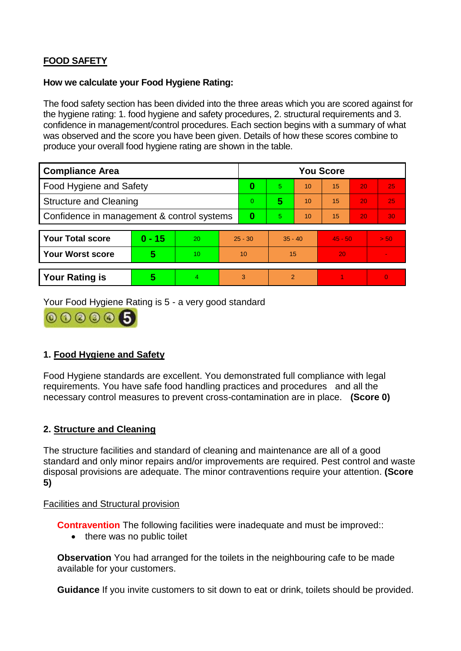# **FOOD SAFETY**

#### **How we calculate your Food Hygiene Rating:**

The food safety section has been divided into the three areas which you are scored against for the hygiene rating: 1. food hygiene and safety procedures, 2. structural requirements and 3. confidence in management/control procedures. Each section begins with a summary of what was observed and the score you have been given. Details of how these scores combine to produce your overall food hygiene rating are shown in the table.

| <b>Compliance Area</b>                     |          |    |                | <b>You Score</b> |           |    |           |    |                |  |  |
|--------------------------------------------|----------|----|----------------|------------------|-----------|----|-----------|----|----------------|--|--|
| Food Hygiene and Safety                    |          |    | 0              | 5.               | 10        | 15 | 20        | 25 |                |  |  |
| <b>Structure and Cleaning</b>              |          |    | $\overline{0}$ | 5                | 10        | 15 | 20        | 25 |                |  |  |
| Confidence in management & control systems |          |    | 0              | 5                | 10        | 15 | 20        | 30 |                |  |  |
|                                            |          |    |                |                  |           |    |           |    |                |  |  |
| <b>Your Total score</b>                    | $0 - 15$ | 20 | $25 - 30$      |                  | $35 - 40$ |    | $45 - 50$ |    | > 50           |  |  |
| <b>Your Worst score</b>                    | 5        | 10 | 10             |                  | 15        |    | 20        |    |                |  |  |
|                                            |          |    |                |                  |           |    |           |    |                |  |  |
| <b>Your Rating is</b>                      | 5        | 4. | 3              |                  | 2         |    |           |    | $\overline{0}$ |  |  |

Your Food Hygiene Rating is 5 - a very good standard



## **1. Food Hygiene and Safety**

Food Hygiene standards are excellent. You demonstrated full compliance with legal requirements. You have safe food handling practices and procedures and all the necessary control measures to prevent cross-contamination are in place. **(Score 0)**

#### **2. Structure and Cleaning**

The structure facilities and standard of cleaning and maintenance are all of a good standard and only minor repairs and/or improvements are required. Pest control and waste disposal provisions are adequate. The minor contraventions require your attention. **(Score 5)**

#### Facilities and Structural provision

**Contravention** The following facilities were inadequate and must be improved:

• there was no public toilet

**Observation** You had arranged for the toilets in the neighbouring cafe to be made available for your customers.

**Guidance** If you invite customers to sit down to eat or drink, toilets should be provided.